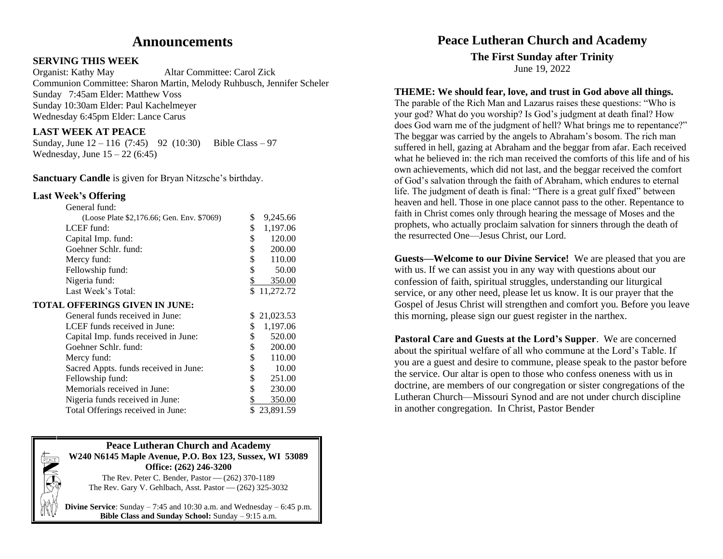# **Announcements**

#### **SERVING THIS WEEK**

Organist: Kathy May Altar Committee: Carol Zick Communion Committee: Sharon Martin, Melody Ruhbusch, Jennifer Scheler Sunday 7:45am Elder: Matthew Voss Sunday 10:30am Elder: Paul Kachelmeyer Wednesday 6:45pm Elder: Lance Carus

## **LAST WEEK AT PEACE**

Sunday, June  $12 - 116$  (7:45) 92 (10:30) Bible Class – 97 Wednesday, June  $15 - 22 (6:45)$ 

**Sanctuary Candle** is given for Bryan Nitzsche's birthday.

#### **Last Week's Offering**

| General fund:                              |                |  |
|--------------------------------------------|----------------|--|
| (Loose Plate \$2,176.66; Gen. Env. \$7069) | \$<br>9,245.66 |  |
| LCEF fund:                                 | \$<br>1,197.06 |  |
| Capital Imp. fund:                         | \$<br>120.00   |  |
| Goehner Schlr. fund:                       | \$<br>200.00   |  |
| Mercy fund:                                | \$<br>110.00   |  |
| Fellowship fund:                           | \$<br>50.00    |  |
| Nigeria fund:                              | \$<br>350.00   |  |
| Last Week's Total:                         | \$11,272.72    |  |
| TOTAL OFFERINGS GIVEN IN JUNE:             |                |  |
| General funds received in June:            | \$21,023.53    |  |
| LCEF funds received in June:               | 1,197.06<br>S  |  |
| Capital Imp. funds received in June:       | \$<br>520.00   |  |
| Goehner Schlr. fund:                       | \$<br>200.00   |  |
| Mercy fund:                                | \$<br>110.00   |  |
| Sacred Appts. funds received in June:      | \$<br>10.00    |  |
| Fellowship fund:                           | \$<br>251.00   |  |
| Memorials received in June:                | \$<br>230.00   |  |
| Nigeria funds received in June:            | \$<br>350.00   |  |
| Total Offerings received in June:          | 23,891.59      |  |



**Divine Service:** Sunday  $-7:45$  and 10:30 a.m. and Wednesday  $-6:45$  p.m. **Bible Class and Sunday School:** Sunday – 9:15 a.m.

# **Peace Lutheran Church and Academy**

**The First Sunday after Trinity** June 19, 2022

# **THEME: We should fear, love, and trust in God above all things.**

The parable of the Rich Man and Lazarus raises these questions: "Who is your god? What do you worship? Is God's judgment at death final? How does God warn me of the judgment of hell? What brings me to repentance?" The beggar was carried by the angels to Abraham's bosom. The rich man suffered in hell, gazing at Abraham and the beggar from afar. Each received what he believed in: the rich man received the comforts of this life and of his own achievements, which did not last, and the beggar received the comfort of God's salvation through the faith of Abraham, which endures to eternal life. The judgment of death is final: "There is a great gulf fixed" between heaven and hell. Those in one place cannot pass to the other. Repentance to faith in Christ comes only through hearing the message of Moses and the prophets, who actually proclaim salvation for sinners through the death of the resurrected One—Jesus Christ, our Lord.

**Guests—Welcome to our Divine Service!** We are pleased that you are with us. If we can assist you in any way with questions about our confession of faith, spiritual struggles, understanding our liturgical service, or any other need, please let us know. It is our prayer that the Gospel of Jesus Christ will strengthen and comfort you. Before you leave this morning, please sign our guest register in the narthex.

**Pastoral Care and Guests at the Lord's Supper**. We are concerned about the spiritual welfare of all who commune at the Lord's Table. If you are a guest and desire to commune, please speak to the pastor before the service. Our altar is open to those who confess oneness with us in doctrine, are members of our congregation or sister congregations of the Lutheran Church—Missouri Synod and are not under church discipline in another congregation. In Christ, Pastor Bender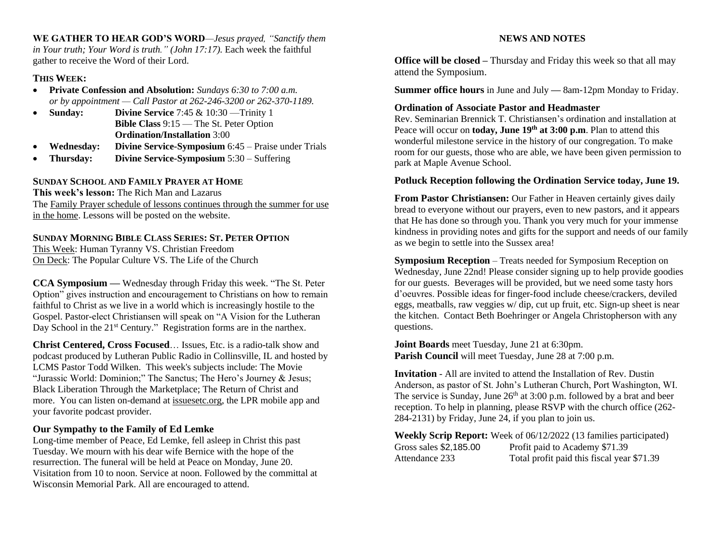**WE GATHER TO HEAR GOD'S WORD***—Jesus prayed, "Sanctify them in Your truth; Your Word is truth." (John 17:17).* Each week the faithful gather to receive the Word of their Lord.

### **THIS WEEK:**

- **Private Confession and Absolution:** *Sundays 6:30 to 7:00 a.m. or by appointment — Call Pastor at 262-246-3200 or 262-370-1189.*
- **Sunday: Divine Service** 7:45 & 10:30 —Trinity 1 **Bible Class** 9:15 — The St. Peter Option **Ordination/Installation** 3:00
- **Wednesday: Divine Service-Symposium** 6:45 Praise under Trials
- **Thursday: Divine Service-Symposium** 5:30 Suffering

#### **SUNDAY SCHOOL AND FAMILY PRAYER AT HOME**

**This week's lesson:** The Rich Man and Lazarus The Family Prayer schedule of lessons continues through the summer for use in the home. Lessons will be posted on the website.

#### **SUNDAY MORNING BIBLE CLASS SERIES: ST. PETER OPTION**

This Week: Human Tyranny VS. Christian Freedom On Deck: The Popular Culture VS. The Life of the Church

**CCA Symposium —** Wednesday through Friday this week. "The St. Peter Option" gives instruction and encouragement to Christians on how to remain faithful to Christ as we live in a world which is increasingly hostile to the Gospel. Pastor-elect Christiansen will speak on "A Vision for the Lutheran Day School in the  $21<sup>st</sup>$  Century." Registration forms are in the narthex.

**Christ Centered, Cross Focused**… Issues, Etc. is a radio-talk show and podcast produced by Lutheran Public Radio in Collinsville, IL and hosted by LCMS Pastor Todd Wilken. This week's subjects include: The Movie "Jurassic World: Dominion;" The Sanctus; The Hero's Journey & Jesus; Black Liberation Through the Marketplace; The Return of Christ and more. You can listen on-demand at [issuesetc.org,](https://r20.rs6.net/tn.jsp?f=001H7XL_eFhgJKe3Iuc4YOND2mZhDiUPEDHJHRWGch0RUVEXdO1PRjcoUBRLpYdFGgUkRW5qLYRweIyd6WbyLpqwLeVsoCdsb21e3cmj0vjGFH92IpqMZ5liIqc5uQD8UA3xaqE26B_ogp84kkcYf03tw==&c=KQ-Z83afD7cO_jNucE-TTmZujDNMZc--0Fz6wh-DHIfOqGdmlRtDYg==&ch=5gY_YyCpstUDTCY6weP264IR7CmiL2ZGxpI8iQs1Kl-qTZ2Ot7wQOQ==) the LPR mobile app and your favorite podcast provider.

#### **Our Sympathy to the Family of Ed Lemke**

Long-time member of Peace, Ed Lemke, fell asleep in Christ this past Tuesday. We mourn with his dear wife Bernice with the hope of the resurrection. The funeral will be held at Peace on Monday, June 20. Visitation from 10 to noon. Service at noon. Followed by the committal at Wisconsin Memorial Park. All are encouraged to attend.

#### **NEWS AND NOTES**

**Office will be closed –** Thursday and Friday this week so that all may attend the Symposium.

**Summer office hours** in June and July **—** 8am-12pm Monday to Friday.

#### **Ordination of Associate Pastor and Headmaster**

Rev. Seminarian Brennick T. Christiansen's ordination and installation at Peace will occur on **today, June 19th at 3:00 p.m**. Plan to attend this wonderful milestone service in the history of our congregation. To make room for our guests, those who are able, we have been given permission to park at Maple Avenue School.

#### **Potluck Reception following the Ordination Service today, June 19.**

**From Pastor Christiansen:** Our Father in Heaven certainly gives daily bread to everyone without our prayers, even to new pastors, and it appears that He has done so through you. Thank you very much for your immense kindness in providing notes and gifts for the support and needs of our family as we begin to settle into the Sussex area!

**Symposium Reception** – Treats needed for Symposium Reception on Wednesday, June 22nd! Please consider signing up to help provide goodies for our guests. Beverages will be provided, but we need some tasty hors d'oeuvres. Possible ideas for finger-food include cheese/crackers, deviled eggs, meatballs, raw veggies w/ dip, cut up fruit, etc. Sign-up sheet is near the kitchen. Contact Beth Boehringer or Angela Christopherson with any questions.

**Joint Boards** meet Tuesday, June 21 at 6:30pm. **Parish Council** will meet Tuesday, June 28 at 7:00 p.m.

**Invitation** - All are invited to attend the Installation of Rev. Dustin Anderson, as pastor of St. John's Lutheran Church, Port Washington, WI. The service is Sunday, June  $26<sup>th</sup>$  at 3:00 p.m. followed by a brat and beer reception. To help in planning, please RSVP with the church office (262- 284-2131) by Friday, June 24, if you plan to join us.

**Weekly Scrip Report:** Week of 06/12/2022 (13 families participated) Gross sales \$2,185.00 Profit paid to Academy \$71.39 Attendance 233 Total profit paid this fiscal year \$71.39